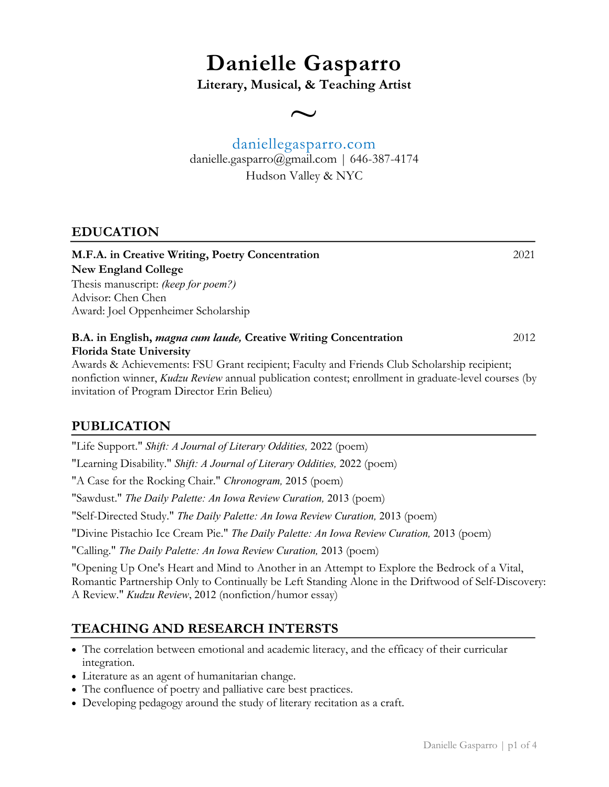# **Danielle Gasparro**

**Literary, Musical, & Teaching Artist**

 $\overline{\phantom{0}}$ 

# daniellegasparro.com danielle.gasparro@gmail.com | 646-387-4174 Hudson Valley & NYC

## **EDUCATION**

| M.F.A. in Creative Writing, Poetry Concentration                                                | 2021  |
|-------------------------------------------------------------------------------------------------|-------|
| New England College                                                                             |       |
| Thesis manuscript: (keep for poem?)                                                             |       |
| Advisor: Chen Chen                                                                              |       |
| Award: Joel Oppenheimer Scholarship                                                             |       |
| B.A. in English, magna cum laude, Creative Writing Concentration                                | 2012. |
| <b>Florida State University</b>                                                                 |       |
| Awards & Aghierrements: ECU Creat registering Equility and Enjoyde Club Scholarship registering |       |

Awards & Achievements: FSU Grant recipient; Faculty and Friends Club Scholarship recipient; nonfiction winner, *Kudzu Review* annual publication contest; enrollment in graduate-level courses (by invitation of Program Director Erin Belieu)

# **PUBLICATION**

"Life Support." *Shift: A Journal of Literary Oddities,* 2022 (poem) "Learning Disability." *Shift: A Journal of Literary Oddities,* 2022 (poem) "A Case for the Rocking Chair." *Chronogram,* 2015 (poem) "Sawdust." *The Daily Palette: An Iowa Review Curation,* 2013 (poem) "Self-Directed Study." *The Daily Palette: An Iowa Review Curation,* 2013 (poem) "Divine Pistachio Ice Cream Pie." *The Daily Palette: An Iowa Review Curation,* 2013 (poem) "Calling." *The Daily Palette: An Iowa Review Curation,* 2013 (poem) "Opening Up One's Heart and Mind to Another in an Attempt to Explore the Bedrock of a Vital, Romantic Partnership Only to Continually be Left Standing Alone in the Driftwood of Self-Discovery:

A Review." *Kudzu Review*, 2012 (nonfiction/humor essay)

# **TEACHING AND RESEARCH INTERSTS**

- The correlation between emotional and academic literacy, and the efficacy of their curricular integration.
- Literature as an agent of humanitarian change.
- The confluence of poetry and palliative care best practices.
- Developing pedagogy around the study of literary recitation as a craft.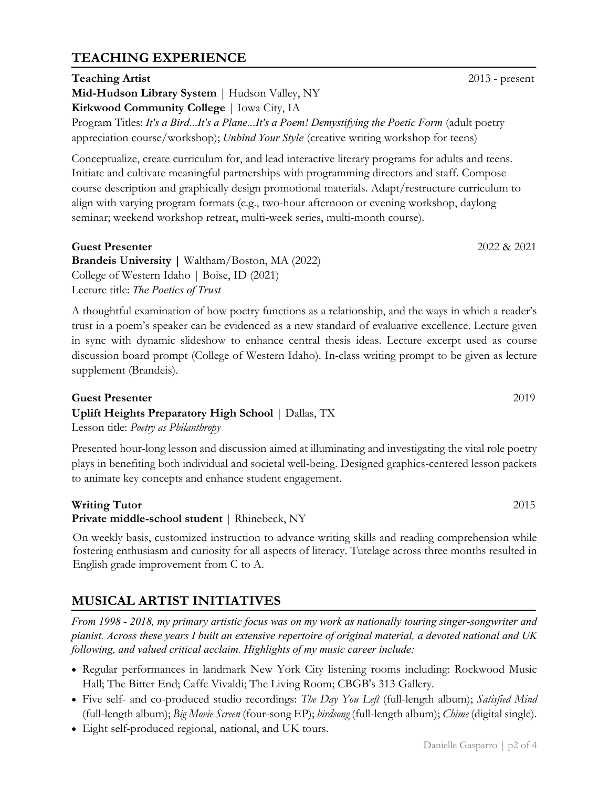#### Danielle Gasparro | p2 of 4

## **TEACHING EXPERIENCE**

## **Teaching Artist** 2013 - present **Mid-Hudson Library System** | Hudson Valley, NY **Kirkwood Community College** | Iowa City, IA Program Titles: *It's a Bird...It's a Plane...It's a Poem! Demystifying the Poetic Form* (adult poetry appreciation course/workshop); *Unbind Your Style* (creative writing workshop for teens)

Conceptualize, create curriculum for, and lead interactive literary programs for adults and teens. Initiate and cultivate meaningful partnerships with programming directors and staff. Compose course description and graphically design promotional materials. Adapt/restructure curriculum to align with varying program formats (e.g., two-hour afternoon or evening workshop, daylong seminar; weekend workshop retreat, multi-week series, multi-month course).

#### **Guest Presenter** 2022 & 2021

**Brandeis University |** Waltham/Boston, MA (2022) College of Western Idaho | Boise, ID (2021) Lecture title: *The Poetics of Trust*

A thoughtful examination of how poetry functions as a relationship, and the ways in which a reader's trust in a poem's speaker can be evidenced as a new standard of evaluative excellence. Lecture given in sync with dynamic slideshow to enhance central thesis ideas. Lecture excerpt used as course discussion board prompt (College of Western Idaho). In-class writing prompt to be given as lecture supplement (Brandeis).

## **Guest Presenter** 2019 **Uplift Heights Preparatory High School** | Dallas, TX

Lesson title: *Poetry as Philanthropy*

Presented hour-long lesson and discussion aimed at illuminating and investigating the vital role poetry plays in benefiting both individual and societal well-being. Designed graphics-centered lesson packets to animate key concepts and enhance student engagement.

#### **Writing Tutor** 2015

**Private middle-school student** | Rhinebeck, NY

On weekly basis, customized instruction to advance writing skills and reading comprehension while fostering enthusiasm and curiosity for all aspects of literacy. Tutelage across three months resulted in English grade improvement from C to A.

# **MUSICAL ARTIST INITIATIVES**

*From 1998 - 2018, my primary artistic focus was on my work as nationally touring singer-songwriter and pianist. Across these years I built an extensive repertoire of original material, a devoted national and UK following, and valued critical acclaim. Highlights of my music career include:*

- Regular performances in landmark New York City listening rooms including: Rockwood Music Hall; The Bitter End; Caffe Vivaldi; The Living Room; CBGB's 313 Gallery.
- Five self- and co-produced studio recordings: *The Day You Left* (full-length album); *Satisfied Mind* (full-length album); *Big Movie Screen* (four-song EP); *birdsong* (full-length album); *Chime* (digital single).
- Eight self-produced regional, national, and UK tours.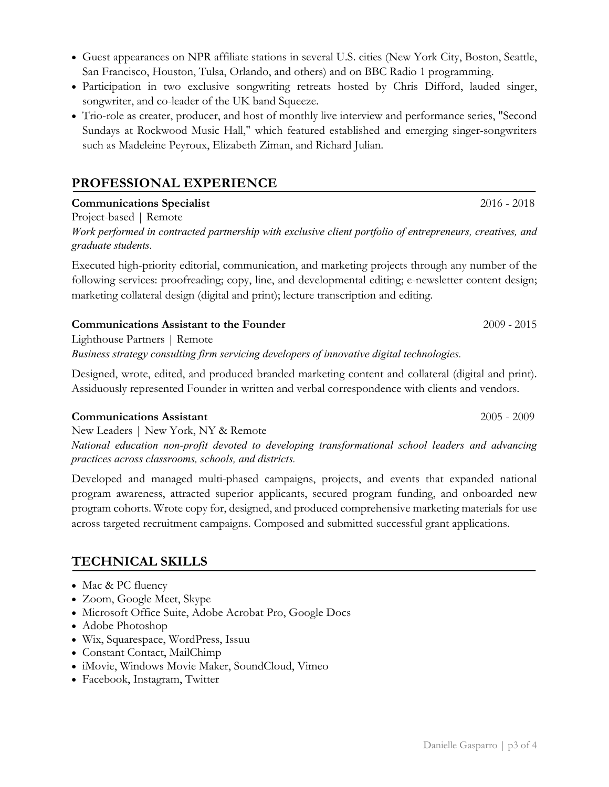- Guest appearances on NPR affiliate stations in several U.S. cities (New York City, Boston, Seattle, San Francisco, Houston, Tulsa, Orlando, and others) and on BBC Radio 1 programming.
- Participation in two exclusive songwriting retreats hosted by Chris Difford, lauded singer, songwriter, and co-leader of the UK band Squeeze.
- Trio-role as creater, producer, and host of monthly live interview and performance series, "Second Sundays at Rockwood Music Hall," which featured established and emerging singer-songwriters such as Madeleine Peyroux, Elizabeth Ziman, and Richard Julian.

# **PROFESSIONAL EXPERIENCE**

## **Communications Specialist** 2016 - 2018

Project-based | Remote

*Work performed in contracted partnership with exclusive client portfolio of entrepreneurs, creatives, and graduate students.*

Executed high-priority editorial, communication, and marketing projects through any number of the following services: proofreading; copy, line, and developmental editing; e-newsletter content design; marketing collateral design (digital and print); lecture transcription and editing.

## **Communications Assistant to the Founder** 2009 - 2015

Lighthouse Partners | Remote *Business strategy consulting firm servicing developers of innovative digital technologies.*

Designed, wrote, edited, and produced branded marketing content and collateral (digital and print). Assiduously represented Founder in written and verbal correspondence with clients and vendors.

## **Communications Assistant** 2005 - 2009

New Leaders | New York, NY & Remote *National education non-profit devoted to developing transformational school leaders and advancing practices across classrooms, schools, and districts.*

Developed and managed multi-phased campaigns, projects, and events that expanded national program awareness, attracted superior applicants, secured program funding, and onboarded new program cohorts. Wrote copy for, designed, and produced comprehensive marketing materials for use across targeted recruitment campaigns. Composed and submitted successful grant applications.

# **TECHNICAL SKILLS**

- Mac & PC fluency
- Zoom, Google Meet, Skype
- Microsoft Office Suite, Adobe Acrobat Pro, Google Docs
- Adobe Photoshop
- Wix, Squarespace, WordPress, Issuu
- Constant Contact, MailChimp
- iMovie, Windows Movie Maker, SoundCloud, Vimeo
- Facebook, Instagram, Twitter